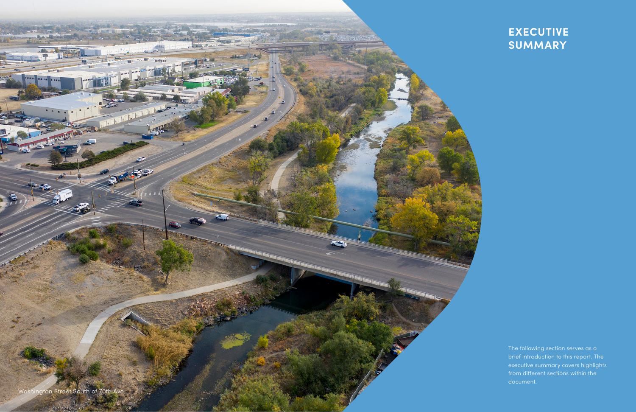The following section serves as a brief introduction to this report. The executive summary covers highlights from different sections within the document.

Washington Street South of 70th Ave

**WITH THE** 

**Ready State** 

# **EXECUTIVE SUMMARY**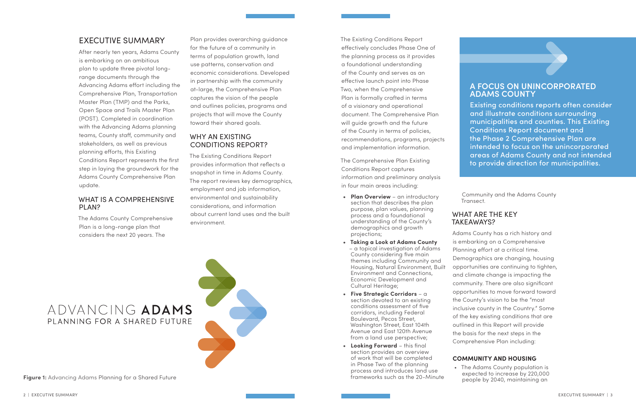## EXECUTIVE SUMMARY

After nearly ten years, Adams County is embarking on an ambitious plan to update three pivotal longrange documents through the Advancing Adams effort including the Comprehensive Plan, Transportation Master Plan (TMP) and the Parks, Open Space and Trails Master Plan (POST). Completed in coordination with the Advancing Adams planning teams, County staff, community and stakeholders, as well as previous planning efforts, this Existing Conditions Report represents the first step in laying the groundwork for the Adams County Comprehensive Plan update.

## WHAT IS A COMPREHENSIVE PLAN?

The Adams County Comprehensive Plan is a long-range plan that considers the next 20 years. The

The Existing Conditions Report effectively concludes Phase One of the planning process as it provides a foundational understanding of the County and serves as an effective launch point into Phase Two, when the Comprehensive Plan is formally crafted in terms of a visionary and operational document. The Comprehensive Plan will guide growth and the future of the County in terms of policies, recommendations, programs, projects and implementation information.

The Comprehensive Plan Existing Conditions Report captures information and preliminary analysis in four main areas including:

- **• Plan Overview** an introductory section that describes the plan purpose, plan values, planning process and a foundational understanding of the County's demographics and growth projections;
- **• Taking a Look at Adams County** – a topical investigation of Adams County considering five main themes including Community and Housing, Natural Environment, Built Environment and Connections, Economic Development and Cultural Heritage;
- **• Five Strategic Corridors** a section devoted to an existing conditions assessment of five corridors, including Federal Boulevard, Pecos Street, Washington Street, East 104th Avenue and East 120th Avenue from a land use perspective;
- **• Looking Forward** this final section provides an overview of work that will be completed in Phase Two of the planning process and introduces land use frameworks such as the 20-Minute

Community and the Adams County Transect.

# WHAT ARE THE KEY TAKEAWAYS?

Adams County has a rich history and is embarking on a Comprehensive Planning effort at a critical time. Demographics are changing, housing opportunities are continuing to tighten, and climate change is impacting the community. There are also significant opportunities to move forward toward the County's vision to be the "most inclusive county in the Country." Some of the key existing conditions that are outlined in this Report will provide the basis for the next steps in the Comprehensive Plan including:

## **COMMUNITY AND HOUSING**

# ADVANCING ADAMS PLANNING FOR A SHARED FUTURE

• The Adams County population is expected to increase by 220,000 people by 2040, maintaining an

Plan provides overarching guidance for the future of a community in terms of population growth, land use patterns, conservation and economic considerations. Developed in partnership with the community at-large, the Comprehensive Plan captures the vision of the people and outlines policies, programs and projects that will move the County toward their shared goals.

## WHY AN EXISTING CONDITIONS REPORT?

The Existing Conditions Report provides information that reflects a snapshot in time in Adams County. The report reviews key demographics, employment and job information, environmental and sustainability considerations, and information about current land uses and the built environment.

**Figure 1:** Advancing Adams Planning for a Shared Future

## **A FOCUS ON UNINCORPORATED ADAMS COUNTY**

Existing conditions reports often consider and illustrate conditions surrounding municipalities and counties. This Existing Conditions Report document and the Phase 2 Comprehensive Plan are intended to focus on the unincorporated areas of Adams County and not intended to provide direction for municipalities.